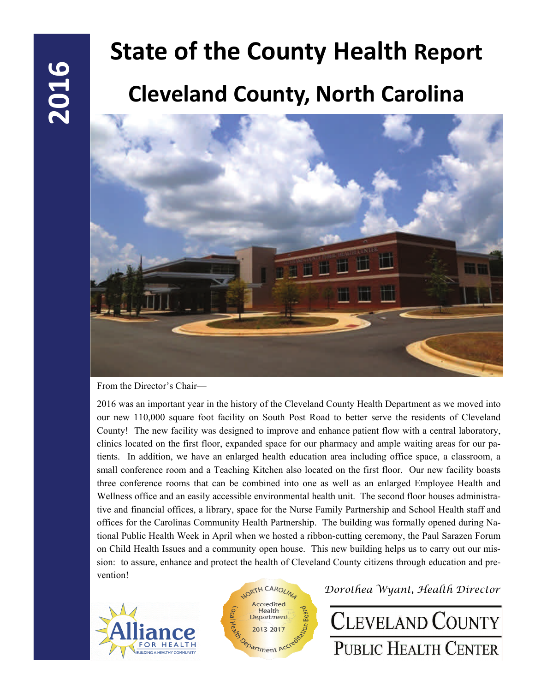# **State of the County Health Report Cleveland County, North Carolina**



From the Director's Chair—

2016 was an important year in the history of the Cleveland County Health Department as we moved into our new 110,000 square foot facility on South Post Road to better serve the residents of Cleveland County! The new facility was designed to improve and enhance patient flow with a central laboratory, clinics located on the first floor, expanded space for our pharmacy and ample waiting areas for our patients. In addition, we have an enlarged health education area including office space, a classroom, a small conference room and a Teaching Kitchen also located on the first floor. Our new facility boasts three conference rooms that can be combined into one as well as an enlarged Employee Health and Wellness office and an easily accessible environmental health unit. The second floor houses administrative and financial offices, a library, space for the Nurse Family Partnership and School Health staff and offices for the Carolinas Community Health Partnership. The building was formally opened during National Public Health Week in April when we hosted a ribbon-cutting ceremony, the Paul Sarazen Forum on Child Health Issues and a community open house. This new building helps us to carry out our mission: to assure, enhance and protect the health of Cleveland County citizens through education and prevention!





*Dorothea Wyant, Health Director* 

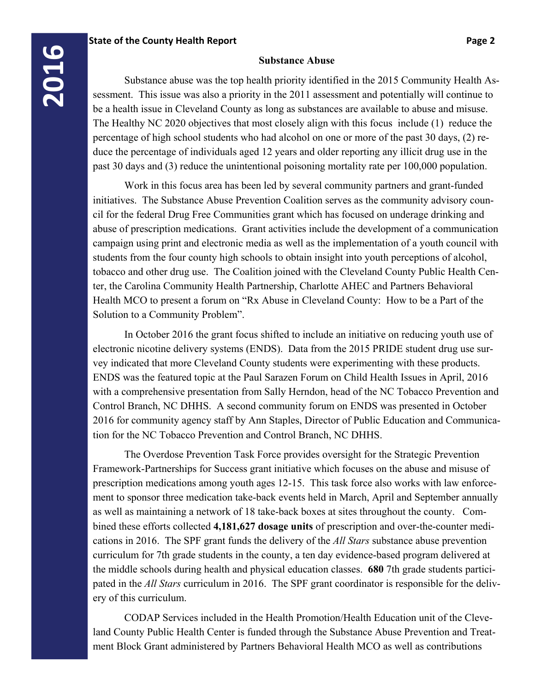# **2016**

### **Substance Abuse**

 Substance abuse was the top health priority identified in the 2015 Community Health Assessment. This issue was also a priority in the 2011 assessment and potentially will continue to be a health issue in Cleveland County as long as substances are available to abuse and misuse. The Healthy NC 2020 objectives that most closely align with this focus include (1) reduce the percentage of high school students who had alcohol on one or more of the past 30 days, (2) reduce the percentage of individuals aged 12 years and older reporting any illicit drug use in the past 30 days and (3) reduce the unintentional poisoning mortality rate per 100,000 population.

 Work in this focus area has been led by several community partners and grant-funded initiatives. The Substance Abuse Prevention Coalition serves as the community advisory council for the federal Drug Free Communities grant which has focused on underage drinking and abuse of prescription medications. Grant activities include the development of a communication campaign using print and electronic media as well as the implementation of a youth council with students from the four county high schools to obtain insight into youth perceptions of alcohol, tobacco and other drug use. The Coalition joined with the Cleveland County Public Health Center, the Carolina Community Health Partnership, Charlotte AHEC and Partners Behavioral Health MCO to present a forum on "Rx Abuse in Cleveland County: How to be a Part of the Solution to a Community Problem".

 In October 2016 the grant focus shifted to include an initiative on reducing youth use of electronic nicotine delivery systems (ENDS). Data from the 2015 PRIDE student drug use survey indicated that more Cleveland County students were experimenting with these products. ENDS was the featured topic at the Paul Sarazen Forum on Child Health Issues in April, 2016 with a comprehensive presentation from Sally Herndon, head of the NC Tobacco Prevention and Control Branch, NC DHHS. A second community forum on ENDS was presented in October 2016 for community agency staff by Ann Staples, Director of Public Education and Communication for the NC Tobacco Prevention and Control Branch, NC DHHS.

 The Overdose Prevention Task Force provides oversight for the Strategic Prevention Framework-Partnerships for Success grant initiative which focuses on the abuse and misuse of prescription medications among youth ages 12-15. This task force also works with law enforcement to sponsor three medication take-back events held in March, April and September annually as well as maintaining a network of 18 take-back boxes at sites throughout the county. Combined these efforts collected **4,181,627 dosage units** of prescription and over-the-counter medications in 2016. The SPF grant funds the delivery of the *All Stars* substance abuse prevention curriculum for 7th grade students in the county, a ten day evidence-based program delivered at the middle schools during health and physical education classes. **680** 7th grade students participated in the *All Stars* curriculum in 2016. The SPF grant coordinator is responsible for the delivery of this curriculum.

 CODAP Services included in the Health Promotion/Health Education unit of the Cleveland County Public Health Center is funded through the Substance Abuse Prevention and Treatment Block Grant administered by Partners Behavioral Health MCO as well as contributions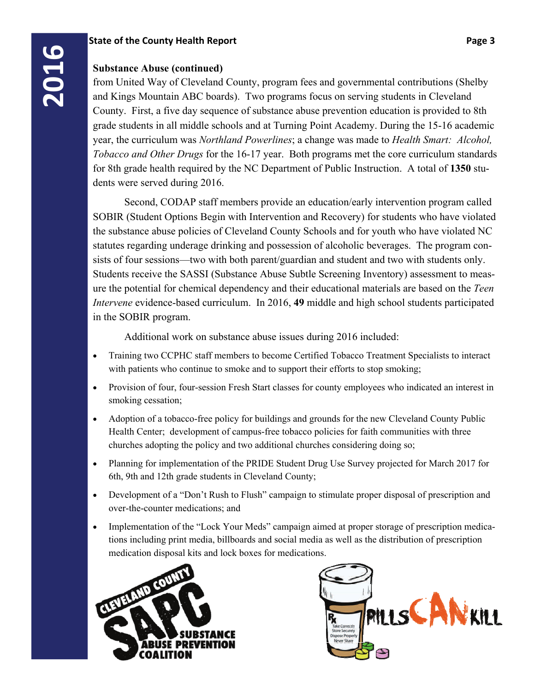**2016**<br>**2016**<br>**2016**<br>**2016**<br>**2016**<br>**2016**<br>**2016**<br>**2016**<br>**2016**<br>**2016**<br>**2016**<br>**2016**<br>**2016**<br>**2016**<br>**2016**<br>**2016**<br>**2016**<br>**2016**<br>**2016**<br>**2016**<br>**2016**<br>**2016**<br>**2016**<br>**2016** from United Way of Cleveland County, program fees and governmental contributions (Shelby and Kings Mountain ABC boards). Two programs focus on serving students in Cleveland County. First, a five day sequence of substance abuse prevention education is provided to 8th grade students in all middle schools and at Turning Point Academy. During the 15-16 academic year, the curriculum was *Northland Powerlines*; a change was made to *Health Smart: Alcohol, Tobacco and Other Drugs* for the 16-17 year. Both programs met the core curriculum standards for 8th grade health required by the NC Department of Public Instruction. A total of **1350** students were served during 2016.

> Second, CODAP staff members provide an education/early intervention program called SOBIR (Student Options Begin with Intervention and Recovery) for students who have violated the substance abuse policies of Cleveland County Schools and for youth who have violated NC statutes regarding underage drinking and possession of alcoholic beverages. The program consists of four sessions—two with both parent/guardian and student and two with students only. Students receive the SASSI (Substance Abuse Subtle Screening Inventory) assessment to measure the potential for chemical dependency and their educational materials are based on the *Teen Intervene* evidence-based curriculum. In 2016, **49** middle and high school students participated in the SOBIR program.

Additional work on substance abuse issues during 2016 included:

- Training two CCPHC staff members to become Certified Tobacco Treatment Specialists to interact with patients who continue to smoke and to support their efforts to stop smoking;
- Provision of four, four-session Fresh Start classes for county employees who indicated an interest in smoking cessation;
- Adoption of a tobacco-free policy for buildings and grounds for the new Cleveland County Public Health Center; development of campus-free tobacco policies for faith communities with three churches adopting the policy and two additional churches considering doing so;
- Planning for implementation of the PRIDE Student Drug Use Survey projected for March 2017 for 6th, 9th and 12th grade students in Cleveland County;
- Development of a "Don't Rush to Flush" campaign to stimulate proper disposal of prescription and over-the-counter medications; and
- Implementation of the "Lock Your Meds" campaign aimed at proper storage of prescription medications including print media, billboards and social media as well as the distribution of prescription medication disposal kits and lock boxes for medications.



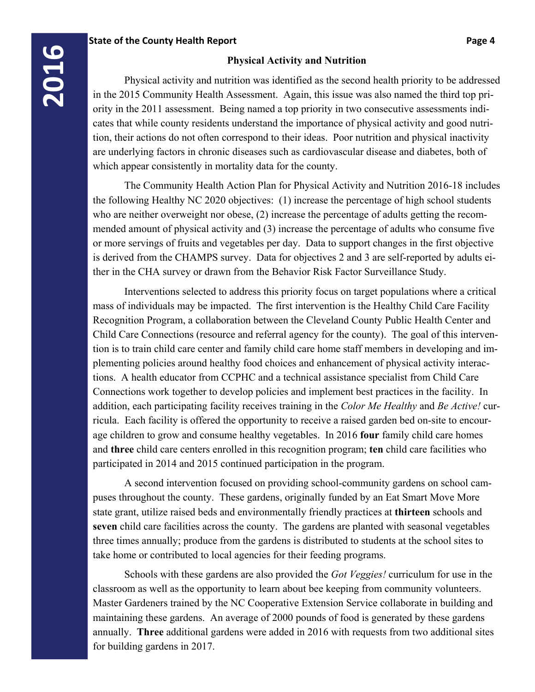### **Physical Activity and Nutrition**

 Physical activity and nutrition was identified as the second health priority to be addressed in the 2015 Community Health Assessment. Again, this issue was also named the third top priority in the 2011 assessment. Being named a top priority in two consecutive assessments indicates that while county residents understand the importance of physical activity and good nutrition, their actions do not often correspond to their ideas. Poor nutrition and physical inactivity are underlying factors in chronic diseases such as cardiovascular disease and diabetes, both of which appear consistently in mortality data for the county.

 The Community Health Action Plan for Physical Activity and Nutrition 2016-18 includes the following Healthy NC 2020 objectives: (1) increase the percentage of high school students who are neither overweight nor obese, (2) increase the percentage of adults getting the recommended amount of physical activity and (3) increase the percentage of adults who consume five or more servings of fruits and vegetables per day. Data to support changes in the first objective is derived from the CHAMPS survey. Data for objectives 2 and 3 are self-reported by adults either in the CHA survey or drawn from the Behavior Risk Factor Surveillance Study.

 Interventions selected to address this priority focus on target populations where a critical mass of individuals may be impacted. The first intervention is the Healthy Child Care Facility Recognition Program, a collaboration between the Cleveland County Public Health Center and Child Care Connections (resource and referral agency for the county). The goal of this intervention is to train child care center and family child care home staff members in developing and implementing policies around healthy food choices and enhancement of physical activity interactions. A health educator from CCPHC and a technical assistance specialist from Child Care Connections work together to develop policies and implement best practices in the facility. In addition, each participating facility receives training in the *Color Me Healthy* and *Be Active!* curricula. Each facility is offered the opportunity to receive a raised garden bed on-site to encourage children to grow and consume healthy vegetables. In 2016 **four** family child care homes and **three** child care centers enrolled in this recognition program; **ten** child care facilities who participated in 2014 and 2015 continued participation in the program.

 A second intervention focused on providing school-community gardens on school campuses throughout the county. These gardens, originally funded by an Eat Smart Move More state grant, utilize raised beds and environmentally friendly practices at **thirteen** schools and **seven** child care facilities across the county. The gardens are planted with seasonal vegetables three times annually; produce from the gardens is distributed to students at the school sites to take home or contributed to local agencies for their feeding programs.

 Schools with these gardens are also provided the *Got Veggies!* curriculum for use in the classroom as well as the opportunity to learn about bee keeping from community volunteers. Master Gardeners trained by the NC Cooperative Extension Service collaborate in building and maintaining these gardens. An average of 2000 pounds of food is generated by these gardens annually. **Three** additional gardens were added in 2016 with requests from two additional sites for building gardens in 2017.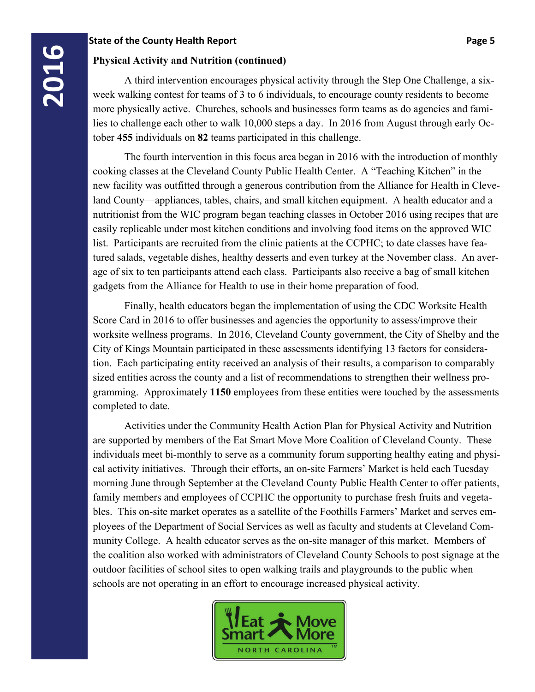**2016**<br>**2016**<br>**2016**<br>**2016**<br>**2016**<br>**2016**<br>**2016**<br>**2016**<br>**2016**<br>**2016**<br>**2016**<br>**2016**<br>**2016**<br>**2016**<br>**2016**<br>**2016**<br>**2016**<br>**2016**<br>**2016**<br>**2016**<br>**2016**<br><br>**2016**  A third intervention encourages physical activity through the Step One Challenge, a sixweek walking contest for teams of 3 to 6 individuals, to encourage county residents to become more physically active. Churches, schools and businesses form teams as do agencies and families to challenge each other to walk 10,000 steps a day. In 2016 from August through early October **455** individuals on **82** teams participated in this challenge.

> The fourth intervention in this focus area began in 2016 with the introduction of monthly cooking classes at the Cleveland County Public Health Center. A "Teaching Kitchen" in the new facility was outfitted through a generous contribution from the Alliance for Health in Cleveland County—appliances, tables, chairs, and small kitchen equipment. A health educator and a nutritionist from the WIC program began teaching classes in October 2016 using recipes that are easily replicable under most kitchen conditions and involving food items on the approved WIC list. Participants are recruited from the clinic patients at the CCPHC; to date classes have featured salads, vegetable dishes, healthy desserts and even turkey at the November class. An average of six to ten participants attend each class. Participants also receive a bag of small kitchen gadgets from the Alliance for Health to use in their home preparation of food.

> Finally, health educators began the implementation of using the CDC Worksite Health Score Card in 2016 to offer businesses and agencies the opportunity to assess/improve their worksite wellness programs. In 2016, Cleveland County government, the City of Shelby and the City of Kings Mountain participated in these assessments identifying 13 factors for consideration. Each participating entity received an analysis of their results, a comparison to comparably sized entities across the county and a list of recommendations to strengthen their wellness programming. Approximately **1150** employees from these entities were touched by the assessments completed to date.

> Activities under the Community Health Action Plan for Physical Activity and Nutrition are supported by members of the Eat Smart Move More Coalition of Cleveland County. These individuals meet bi-monthly to serve as a community forum supporting healthy eating and physical activity initiatives. Through their efforts, an on-site Farmers' Market is held each Tuesday morning June through September at the Cleveland County Public Health Center to offer patients, family members and employees of CCPHC the opportunity to purchase fresh fruits and vegetables. This on-site market operates as a satellite of the Foothills Farmers' Market and serves employees of the Department of Social Services as well as faculty and students at Cleveland Community College. A health educator serves as the on-site manager of this market. Members of the coalition also worked with administrators of Cleveland County Schools to post signage at the outdoor facilities of school sites to open walking trails and playgrounds to the public when schools are not operating in an effort to encourage increased physical activity.

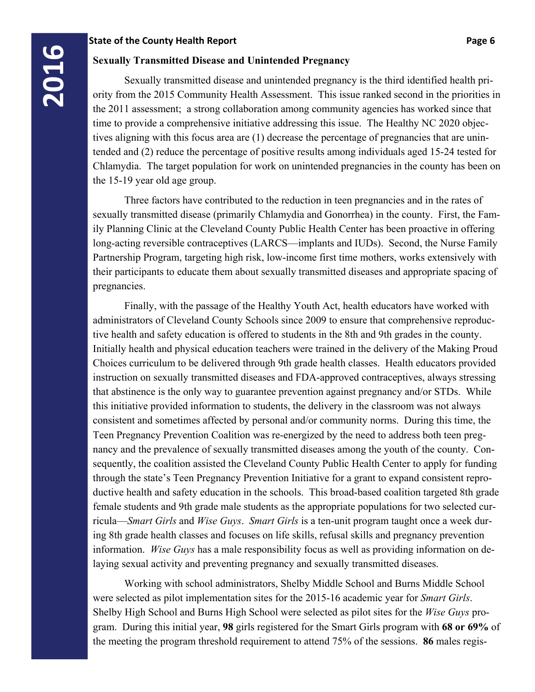**2018**<br> **2018** Sexually Transmitted Disease and Unintended Pregnancy<br>
2015 Community Health Assessment. This issue the 2011 assessment: a strong collaboration among community Sexually transmitted disease and unintended pregnancy is the third identified health priority from the 2015 Community Health Assessment. This issue ranked second in the priorities in the 2011 assessment; a strong collaboration among community agencies has worked since that time to provide a comprehensive initiative addressing this issue. The Healthy NC 2020 objectives aligning with this focus area are (1) decrease the percentage of pregnancies that are unintended and (2) reduce the percentage of positive results among individuals aged 15-24 tested for Chlamydia. The target population for work on unintended pregnancies in the county has been on the 15-19 year old age group.

> Three factors have contributed to the reduction in teen pregnancies and in the rates of sexually transmitted disease (primarily Chlamydia and Gonorrhea) in the county. First, the Family Planning Clinic at the Cleveland County Public Health Center has been proactive in offering long-acting reversible contraceptives (LARCS—implants and IUDs). Second, the Nurse Family Partnership Program, targeting high risk, low-income first time mothers, works extensively with their participants to educate them about sexually transmitted diseases and appropriate spacing of pregnancies.

> Finally, with the passage of the Healthy Youth Act, health educators have worked with administrators of Cleveland County Schools since 2009 to ensure that comprehensive reproductive health and safety education is offered to students in the 8th and 9th grades in the county. Initially health and physical education teachers were trained in the delivery of the Making Proud Choices curriculum to be delivered through 9th grade health classes. Health educators provided instruction on sexually transmitted diseases and FDA-approved contraceptives, always stressing that abstinence is the only way to guarantee prevention against pregnancy and/or STDs. While this initiative provided information to students, the delivery in the classroom was not always consistent and sometimes affected by personal and/or community norms. During this time, the Teen Pregnancy Prevention Coalition was re-energized by the need to address both teen pregnancy and the prevalence of sexually transmitted diseases among the youth of the county. Consequently, the coalition assisted the Cleveland County Public Health Center to apply for funding through the state's Teen Pregnancy Prevention Initiative for a grant to expand consistent reproductive health and safety education in the schools. This broad-based coalition targeted 8th grade female students and 9th grade male students as the appropriate populations for two selected curricula—*Smart Girls* and *Wise Guys*. *Smart Girls* is a ten-unit program taught once a week during 8th grade health classes and focuses on life skills, refusal skills and pregnancy prevention information. *Wise Guys* has a male responsibility focus as well as providing information on delaying sexual activity and preventing pregnancy and sexually transmitted diseases.

> Working with school administrators, Shelby Middle School and Burns Middle School were selected as pilot implementation sites for the 2015-16 academic year for *Smart Girls*. Shelby High School and Burns High School were selected as pilot sites for the *Wise Guys* program. During this initial year, **98** girls registered for the Smart Girls program with **68 or 69%** of the meeting the program threshold requirement to attend 75% of the sessions. **86** males regis-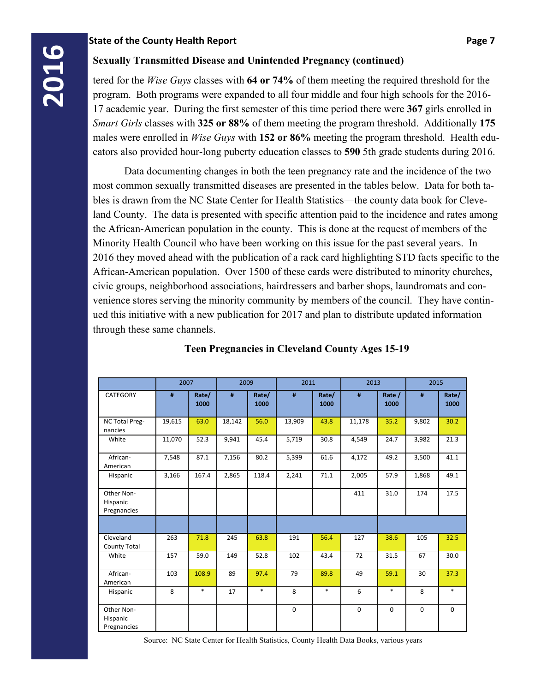**2016** Sexually Transmitted Disease and Unintended Pregnancy (continued) tered for the *Wise Guys* classes with **64 or 74%** of them meeting the requirements and program. Both programs were expanded to all four middle and f tered for the *Wise Guys* classes with **64 or 74%** of them meeting the required threshold for the program. Both programs were expanded to all four middle and four high schools for the 2016- 17 academic year. During the first semester of this time period there were **367** girls enrolled in *Smart Girls* classes with **325 or 88%** of them meeting the program threshold. Additionally **175**  males were enrolled in *Wise Guys* with **152 or 86%** meeting the program threshold. Health educators also provided hour-long puberty education classes to **590** 5th grade students during 2016.

> Data documenting changes in both the teen pregnancy rate and the incidence of the two most common sexually transmitted diseases are presented in the tables below. Data for both tables is drawn from the NC State Center for Health Statistics—the county data book for Cleveland County. The data is presented with specific attention paid to the incidence and rates among the African-American population in the county. This is done at the request of members of the Minority Health Council who have been working on this issue for the past several years. In 2016 they moved ahead with the publication of a rack card highlighting STD facts specific to the African-American population. Over 1500 of these cards were distributed to minority churches, civic groups, neighborhood associations, hairdressers and barber shops, laundromats and convenience stores serving the minority community by members of the council. They have continued this initiative with a new publication for 2017 and plan to distribute updated information through these same channels.

|                                       | 2007   |               | 2009   |               | 2011        |               | 2013        |                | 2015        |               |
|---------------------------------------|--------|---------------|--------|---------------|-------------|---------------|-------------|----------------|-------------|---------------|
| <b>CATEGORY</b>                       | #      | Rate/<br>1000 | #      | Rate/<br>1000 | #           | Rate/<br>1000 | #           | Rate /<br>1000 | #           | Rate/<br>1000 |
| NC Total Preg-<br>nancies             | 19,615 | 63.0          | 18,142 | 56.0          | 13,909      | 43.8          | 11,178      | 35.2           | 9,802       | 30.2          |
| White                                 | 11,070 | 52.3          | 9,941  | 45.4          | 5,719       | 30.8          | 4,549       | 24.7           | 3,982       | 21.3          |
| African-<br>American                  | 7,548  | 87.1          | 7,156  | 80.2          | 5,399       | 61.6          | 4,172       | 49.2           | 3,500       | 41.1          |
| Hispanic                              | 3,166  | 167.4         | 2,865  | 118.4         | 2,241       | 71.1          | 2,005       | 57.9           | 1,868       | 49.1          |
| Other Non-<br>Hispanic<br>Pregnancies |        |               |        |               |             |               | 411         | 31.0           | 174         | 17.5          |
|                                       |        |               |        |               |             |               |             |                |             |               |
| Cleveland<br><b>County Total</b>      | 263    | 71.8          | 245    | 63.8          | 191         | 56.4          | 127         | 38.6           | 105         | 32.5          |
| White                                 | 157    | 59.0          | 149    | 52.8          | 102         | 43.4          | 72          | 31.5           | 67          | 30.0          |
| African-<br>American                  | 103    | 108.9         | 89     | 97.4          | 79          | 89.8          | 49          | 59.1           | 30          | 37.3          |
| Hispanic                              | 8      | $\ast$        | 17     | $\ast$        | 8           | $\ast$        | 6           | $\ast$         | 8           | $\ast$        |
| Other Non-<br>Hispanic<br>Pregnancies |        |               |        |               | $\mathbf 0$ |               | $\mathbf 0$ | $\Omega$       | $\mathbf 0$ | $\mathbf 0$   |

### **Teen Pregnancies in Cleveland County Ages 15-19**

Source: NC State Center for Health Statistics, County Health Data Books, various years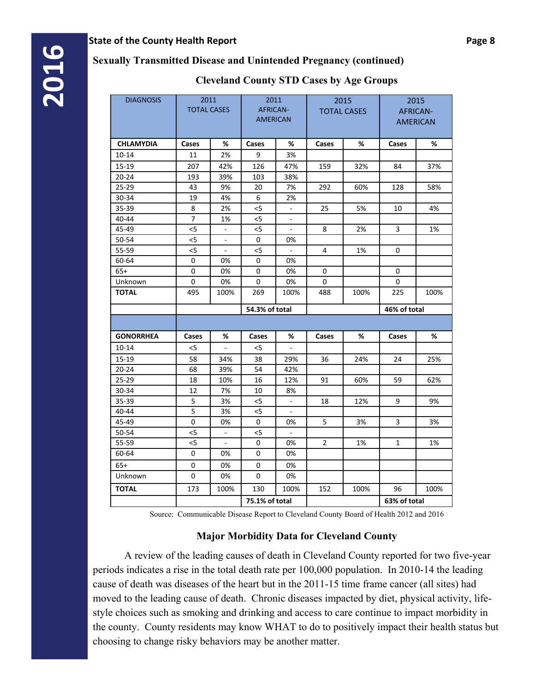# **Cleveland County STD Cases by Age Groups**

| 2015<br><b>AFRICAN-</b><br><b>AMERICAN</b><br>Cases<br>84<br>37%<br>128<br>58%<br>10<br>3<br>0<br>0<br>0<br>225<br>100%<br>46% of total | %          | 2015<br><b>TOTAL CASES</b><br>32%<br>60%<br>5%<br>2%<br>1% | Cases<br>159<br>292<br>25<br>8<br>4 | %<br>3%<br>47%<br>38%<br>7%<br>2%<br>$\overline{\phantom{a}}$<br>$\overline{\phantom{a}}$<br>$\overline{\phantom{a}}$<br>0% | 2011<br><b>AFRICAN-</b><br><b>AMERICAN</b><br>Cases<br>9<br>126<br>103<br>20<br>6<br>< 5<br>$<$ 5<br>< 5 | %<br>2%<br>42%<br>39%<br>9%<br>4%<br>2%<br>1% | 2011<br><b>TOTAL CASES</b><br>Cases<br>11<br>207<br>193<br>43<br>19<br>8 | <b>DIAGNOSIS</b><br><b>CHLAMYDIA</b><br>$10 - 14$<br>15-19<br>$20 - 24$ |
|-----------------------------------------------------------------------------------------------------------------------------------------|------------|------------------------------------------------------------|-------------------------------------|-----------------------------------------------------------------------------------------------------------------------------|----------------------------------------------------------------------------------------------------------|-----------------------------------------------|--------------------------------------------------------------------------|-------------------------------------------------------------------------|
|                                                                                                                                         |            |                                                            |                                     |                                                                                                                             |                                                                                                          |                                               |                                                                          |                                                                         |
|                                                                                                                                         |            |                                                            |                                     |                                                                                                                             |                                                                                                          |                                               |                                                                          |                                                                         |
|                                                                                                                                         |            |                                                            |                                     |                                                                                                                             |                                                                                                          |                                               |                                                                          |                                                                         |
|                                                                                                                                         |            |                                                            |                                     |                                                                                                                             |                                                                                                          |                                               |                                                                          |                                                                         |
|                                                                                                                                         |            |                                                            |                                     |                                                                                                                             |                                                                                                          |                                               |                                                                          |                                                                         |
|                                                                                                                                         |            |                                                            |                                     |                                                                                                                             |                                                                                                          |                                               |                                                                          | 25-29                                                                   |
|                                                                                                                                         |            |                                                            |                                     |                                                                                                                             |                                                                                                          |                                               |                                                                          | 30-34                                                                   |
|                                                                                                                                         |            |                                                            |                                     |                                                                                                                             |                                                                                                          |                                               |                                                                          | 35-39                                                                   |
|                                                                                                                                         |            |                                                            |                                     |                                                                                                                             |                                                                                                          |                                               | $\overline{7}$                                                           | 40-44                                                                   |
|                                                                                                                                         |            |                                                            |                                     |                                                                                                                             |                                                                                                          | $\overline{\phantom{a}}$                      | $5$                                                                      | 45-49                                                                   |
|                                                                                                                                         |            |                                                            |                                     |                                                                                                                             | 0                                                                                                        | $\overline{\phantom{a}}$                      | $5$                                                                      | 50-54                                                                   |
|                                                                                                                                         |            |                                                            |                                     | ÷.                                                                                                                          | $5$                                                                                                      |                                               | $5$                                                                      | 55-59                                                                   |
|                                                                                                                                         |            |                                                            |                                     | 0%                                                                                                                          | 0                                                                                                        | 0%                                            | 0                                                                        | 60-64                                                                   |
|                                                                                                                                         |            |                                                            | 0                                   | 0%                                                                                                                          | 0                                                                                                        | 0%                                            | 0                                                                        | $65+$                                                                   |
|                                                                                                                                         |            |                                                            | 0                                   | 0%                                                                                                                          | 0                                                                                                        | 0%                                            | 0                                                                        | Unknown                                                                 |
|                                                                                                                                         |            | 100%                                                       | 488                                 | 100%                                                                                                                        | 269                                                                                                      | 100%                                          | 495                                                                      | <b>TOTAL</b>                                                            |
|                                                                                                                                         |            |                                                            |                                     |                                                                                                                             | 54.3% of total                                                                                           |                                               |                                                                          |                                                                         |
|                                                                                                                                         |            |                                                            |                                     |                                                                                                                             |                                                                                                          |                                               |                                                                          |                                                                         |
|                                                                                                                                         | %<br>Cases |                                                            | Cases                               | %                                                                                                                           | Cases                                                                                                    | %                                             | Cases                                                                    | <b>GONORRHEA</b>                                                        |
|                                                                                                                                         |            |                                                            |                                     | $\mathbb{L}$                                                                                                                | < 5                                                                                                      | $\omega$                                      | < 5                                                                      | $10 - 14$                                                               |
| 24<br>25%                                                                                                                               |            | 24%                                                        | 36                                  | 29%                                                                                                                         | 38                                                                                                       | 34%                                           | 58                                                                       | 15-19                                                                   |
|                                                                                                                                         |            |                                                            |                                     | 42%                                                                                                                         | 54                                                                                                       | 39%                                           | 68                                                                       | $20 - 24$                                                               |
| 59<br>62%                                                                                                                               |            | 60%                                                        | 91                                  | 12%                                                                                                                         | 16                                                                                                       | 10%                                           | 18                                                                       | 25-29                                                                   |
|                                                                                                                                         |            |                                                            |                                     | 8%                                                                                                                          | 10                                                                                                       | 7%                                            | 12                                                                       | 30-34                                                                   |
| 9                                                                                                                                       |            | 12%                                                        | 18                                  |                                                                                                                             | < 5                                                                                                      | 3%                                            | 5                                                                        | 35-39                                                                   |
|                                                                                                                                         |            |                                                            |                                     |                                                                                                                             | < 5                                                                                                      | 3%                                            | 5                                                                        | 40-44                                                                   |
| 3                                                                                                                                       |            | 3%                                                         | 5                                   | 0%                                                                                                                          | 0                                                                                                        | 0%                                            | 0                                                                        | 45-49                                                                   |
|                                                                                                                                         |            |                                                            |                                     |                                                                                                                             | $5$                                                                                                      |                                               | < 5                                                                      | 50-54                                                                   |
| $\mathbf{1}$                                                                                                                            |            | 1%                                                         | $\overline{2}$                      | 0%                                                                                                                          | 0                                                                                                        |                                               | < 5                                                                      | 55-59                                                                   |
|                                                                                                                                         |            |                                                            |                                     | 0%                                                                                                                          | $\mathbf 0$                                                                                              | 0%                                            | $\mathsf{O}\xspace$                                                      | 60-64                                                                   |
|                                                                                                                                         |            |                                                            |                                     | 0%                                                                                                                          | 0                                                                                                        | 0%                                            | 0                                                                        | $65+$                                                                   |
|                                                                                                                                         |            |                                                            |                                     | 0%                                                                                                                          | $\mathbf 0$                                                                                              | 0%                                            | $\mathsf{O}\xspace$                                                      | Unknown                                                                 |
| 96<br>100%                                                                                                                              |            | 100%                                                       | 152                                 | 100%                                                                                                                        | 130                                                                                                      | 100%                                          | 173                                                                      | <b>TOTAL</b>                                                            |

Source: Communicable Disease Report to Cleveland County Board of Health 2012 and 2016

# **Major Morbidity Data for Cleveland County**

 A review of the leading causes of death in Cleveland County reported for two five-year periods indicates a rise in the total death rate per 100,000 population. In 2010-14 the leading cause of death was diseases of the heart but in the 2011-15 time frame cancer (all sites) had moved to the leading cause of death. Chronic diseases impacted by diet, physical activity, lifestyle choices such as smoking and drinking and access to care continue to impact morbidity in the county. County residents may know WHAT to do to positively impact their health status but choosing to change risky behaviors may be another matter.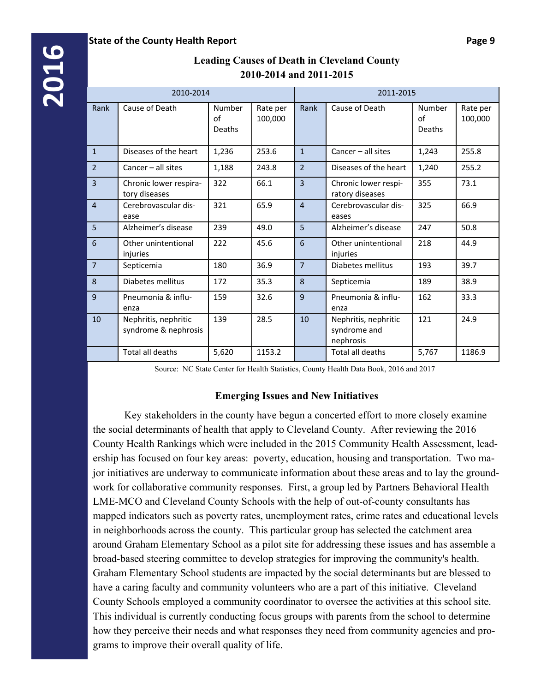|                | 2010-2014                                    |                                               |        | 2011-2015      |                                                   |                        |                     |  |  |  |
|----------------|----------------------------------------------|-----------------------------------------------|--------|----------------|---------------------------------------------------|------------------------|---------------------|--|--|--|
| Rank           | Cause of Death                               | Number<br>Rate per<br>of<br>100,000<br>Deaths |        | Rank           | Cause of Death                                    | Number<br>of<br>Deaths | Rate per<br>100,000 |  |  |  |
| $\mathbf{1}$   | Diseases of the heart                        | 1,236                                         | 253.6  | $\mathbf{1}$   | Cancer - all sites                                | 1,243                  | 255.8               |  |  |  |
| $\overline{2}$ | Cancer - all sites                           | 1,188                                         | 243.8  | $\overline{2}$ | Diseases of the heart                             | 1,240                  | 255.2               |  |  |  |
| $\overline{3}$ | Chronic lower respira-<br>tory diseases      | 322                                           | 66.1   | $\overline{3}$ | Chronic lower respi-<br>ratory diseases           | 355                    | 73.1                |  |  |  |
| $\overline{4}$ | Cerebrovascular dis-<br>ease                 | 321                                           | 65.9   | $\overline{4}$ | Cerebrovascular dis-<br>eases                     | 325                    | 66.9                |  |  |  |
| 5              | Alzheimer's disease                          | 239                                           | 49.0   | 5              | Alzheimer's disease                               | 247                    | 50.8                |  |  |  |
| 6              | Other unintentional<br>injuries              | 222                                           | 45.6   | 6              | Other unintentional<br>injuries                   | 218                    | 44.9                |  |  |  |
| $\overline{7}$ | Septicemia                                   | 180                                           | 36.9   | $\overline{7}$ | Diabetes mellitus                                 | 193                    | 39.7                |  |  |  |
| 8              | Diabetes mellitus                            | 172                                           | 35.3   | 8              | Septicemia                                        | 189                    | 38.9                |  |  |  |
| 9              | Pneumonia & influ-<br>enza                   | 159                                           | 32.6   | 9              | Pneumonia & influ-<br>enza                        | 162                    | 33.3                |  |  |  |
| 10             | Nephritis, nephritic<br>syndrome & nephrosis | 139                                           | 28.5   | 10             | Nephritis, nephritic<br>syndrome and<br>nephrosis | 121                    | 24.9                |  |  |  |
|                | Total all deaths                             | 5,620                                         | 1153.2 |                | Total all deaths                                  | 5,767                  | 1186.9              |  |  |  |

# **Leading Causes of Death in Cleveland County 2010-2014 and 2011-2015**

Source: NC State Center for Health Statistics, County Health Data Book, 2016 and 2017

### **Emerging Issues and New Initiatives**

 Key stakeholders in the county have begun a concerted effort to more closely examine the social determinants of health that apply to Cleveland County. After reviewing the 2016 County Health Rankings which were included in the 2015 Community Health Assessment, leadership has focused on four key areas: poverty, education, housing and transportation. Two major initiatives are underway to communicate information about these areas and to lay the groundwork for collaborative community responses. First, a group led by Partners Behavioral Health LME-MCO and Cleveland County Schools with the help of out-of-county consultants has mapped indicators such as poverty rates, unemployment rates, crime rates and educational levels in neighborhoods across the county. This particular group has selected the catchment area around Graham Elementary School as a pilot site for addressing these issues and has assemble a broad-based steering committee to develop strategies for improving the community's health. Graham Elementary School students are impacted by the social determinants but are blessed to have a caring faculty and community volunteers who are a part of this initiative. Cleveland County Schools employed a community coordinator to oversee the activities at this school site. This individual is currently conducting focus groups with parents from the school to determine how they perceive their needs and what responses they need from community agencies and programs to improve their overall quality of life.